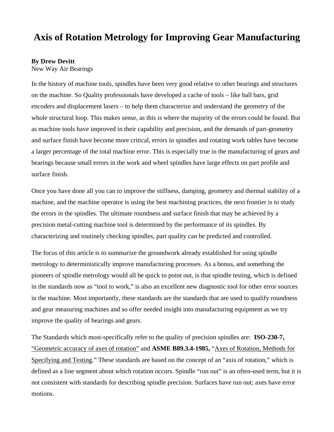# **Axis of Rotation Metrology for Improving Gear Manufacturing**

#### **By Drew Devitt**

New Way Air Bearings

In the history of machine tools, spindles have been very good relative to other bearings and structures on the machine. So Quality professionals have developed a cache of tools – like ball bars, grid encoders and displacement lasers – to help them characterize and understand the geometry of the whole structural loop. This makes sense, as this is where the majority of the errors could be found. But as machine tools have improved in their capability and precision, and the demands of part-geometry and surface finish have become more critical, errors in spindles and rotating work tables have become a larger percentage of the total machine error. This is especially true in the manufacturing of gears and bearings because small errors in the work and wheel spindles have large effects on part profile and surface finish.

Once you have done all you can to improve the stiffness, damping, geometry and thermal stability of a machine, and the machine operator is using the best machining practices, the next frontier is to study the errors in the spindles. The ultimate roundness and surface finish that may be achieved by a precision metal-cutting machine tool is determined by the performance of its spindles. By characterizing and routinely checking spindles, part quality can be predicted and controlled.

The focus of this article is to summarize the groundwork already established for using spindle metrology to deterministically improve manufacturing processes. As a bonus, and something the pioneers of spindle metrology would all be quick to point out, is that spindle testing, which is defined in the standards now as "tool to work," is also an excellent new diagnostic tool for other error sources in the machine. Most importantly, these standards are the standards that are used to qualify roundness and gear measuring machines and so offer needed insight into manufacturing equipment as we try improve the quality of bearings and gears.

The Standards which most-specifically refer to the quality of precision spindles are: **ISO-230-7,** "Geometric accuracy of axes of rotation" and **ASME B89.3.4-1985,** "Axes of Rotation, Methods for Specifying and Testing." These standards are based on the concept of an "axis of rotation," which is defined as a line segment about which rotation occurs. Spindle "run out" is an often-used term, but it is not consistent with standards for describing spindle precision. Surfaces have run out; axes have error motions.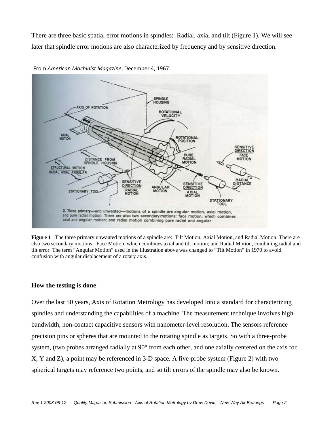There are three basic spatial error motions in spindles: Radial, axial and tilt (Figure 1). We will see later that spindle error motions are also characterized by frequency and by sensitive direction.



From *American Machinist Magazine*, December 4, 1967.

**Figure 1** The three primary unwanted motions of a spindle are: Tilt Motion, Axial Motion, and Radial Motion. There are also two secondary motions: Face Motion, which combines axial and tilt motion; and Radial Motion, combining radial and tilt error. The term "Angular Motion" used in the illustration above was changed to "Tilt Motion" in 1970 to avoid confusion with angular displacement of a rotary axis.

#### **How the testing is done**

Over the last 50 years, Axis of Rotation Metrology has developed into a standard for characterizing spindles and understanding the capabilities of a machine. The measurement technique involves high bandwidth, non-contact capacitive sensors with nanometer-level resolution. The sensors reference precision pins or spheres that are mounted to the rotating spindle as targets. So with a three-probe system, (two probes arranged radially at 90° from each other, and one axially centered on the axis for X, Y and Z), a point may be referenced in 3-D space. A five-probe system (Figure 2) with two spherical targets may reference two points, and so tilt errors of the spindle may also be known.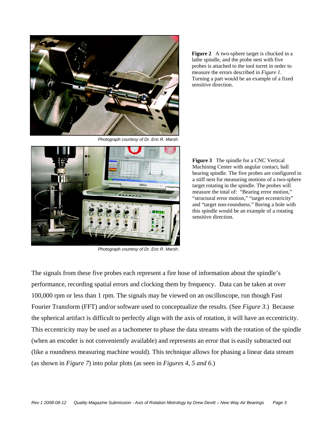

*Photograph courtesy of Dr. Eric R. Marsh.* 

**Figure 2** A two-sphere target is chucked in a lathe spindle, and the probe nest with five probes is attached to the tool turret in order to measure the errors described in *Figure 1*. Turning a part would be an example of a fixed sensitive direction.



*Photograph courtesy of Dr. Eric R. Marsh.* 

**Figure 3** The spindle for a CNC Vertical Machining Center with angular contact, ball bearing spindle. The five probes are configured in a stiff nest for measuring motions of a two-sphere target rotating in the spindle. The probes will measure the total of: "Bearing error motion," "structural error motion," "target eccentricity" and "target non-roundness." Boring a hole with this spindle would be an example of a rotating sensitive direction.

The signals from these five probes each represent a fire hose of information about the spindle's performance, recording spatial errors and clocking them by frequency. Data can be taken at over 100,000 rpm or less than 1 rpm. The signals may be viewed on an oscilloscope, run though Fast Fourier Transform (FFT) and/or software used to conceptualize the results. (See *Figure 3*.) Because the spherical artifact is difficult to perfectly align with the axis of rotation, it will have an eccentricity. This eccentricity may be used as a tachometer to phase the data streams with the rotation of the spindle (when an encoder is not conveniently available) and represents an error that is easily subtracted out (like a roundness measuring machine would). This technique allows for phasing a linear data stream (as shown in *Figure 7*) into polar plots (as seen in *Figures 4, 5 and 6*.)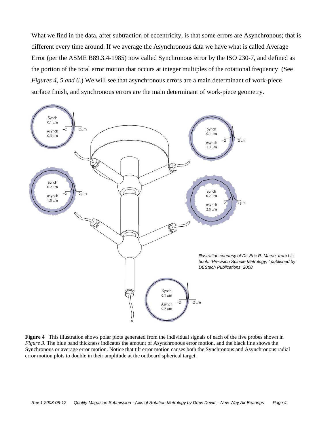What we find in the data, after subtraction of eccentricity, is that some errors are Asynchronous; that is different every time around. If we average the Asynchronous data we have what is called Average Error (per the ASME B89.3.4-1985) now called Synchronous error by the ISO 230-7, and defined as the portion of the total error motion that occurs at integer multiples of the rotational frequency (See *Figures 4, 5 and 6*.) We will see that asynchronous errors are a main determinant of work-piece surface finish, and synchronous errors are the main determinant of work-piece geometry.



**Figure 4** This illustration shows polar plots generated from the individual signals of each of the five probes shown in *Figure 3*. The blue band thickness indicates the amount of Asynchronous error motion, and the black line shows the Synchronous or average error motion. Notice that tilt error motion causes both the Synchronous and Asynchronous radial error motion plots to double in their amplitude at the outboard spherical target.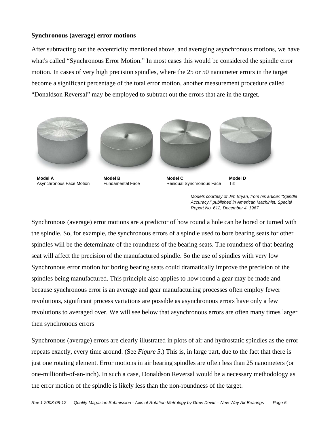#### **Synchronous (average) error motions**

After subtracting out the eccentricity mentioned above, and averaging asynchronous motions, we have what's called "Synchronous Error Motion." In most cases this would be considered the spindle error motion. In cases of very high precision spindles, where the 25 or 50 nanometer errors in the target become a significant percentage of the total error motion, another measurement procedure called "Donaldson Reversal" may be employed to subtract out the errors that are in the target.





**Model A**  Asynchronous Face Motion

**Model B**  Fundamental Face



**Model C**  Residual Synchronous Face Tilt

**Model D** 

*Models courtesy of Jim Bryan, from his article: "Spindle Accuracy," published in American Machinist, Special Report No. 612, December 4, 1967.* 

Synchronous (average) error motions are a predictor of how round a hole can be bored or turned with the spindle. So, for example, the synchronous errors of a spindle used to bore bearing seats for other spindles will be the determinate of the roundness of the bearing seats. The roundness of that bearing seat will affect the precision of the manufactured spindle. So the use of spindles with very low Synchronous error motion for boring bearing seats could dramatically improve the precision of the spindles being manufactured. This principle also applies to how round a gear may be made and because synchronous error is an average and gear manufacturing processes often employ fewer revolutions, significant process variations are possible as asynchronous errors have only a few revolutions to averaged over. We will see below that asynchronous errors are often many times larger then synchronous errors

Synchronous (average) errors are clearly illustrated in plots of air and hydrostatic spindles as the error repeats exactly, every time around. (See *Figure 5*.) This is, in large part, due to the fact that there is just one rotating element. Error motions in air bearing spindles are often less than 25 nanometers (or one-millionth-of-an-inch). In such a case, Donaldson Reversal would be a necessary methodology as the error motion of the spindle is likely less than the non-roundness of the target.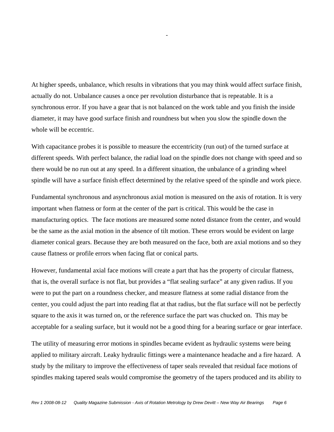At higher speeds, unbalance, which results in vibrations that you may think would affect surface finish, actually do not. Unbalance causes a once per revolution disturbance that is repeatable. It is a synchronous error. If you have a gear that is not balanced on the work table and you finish the inside diameter, it may have good surface finish and roundness but when you slow the spindle down the whole will be eccentric.

*-* 

With capacitance probes it is possible to measure the eccentricity (run out) of the turned surface at different speeds. With perfect balance, the radial load on the spindle does not change with speed and so there would be no run out at any speed. In a different situation, the unbalance of a grinding wheel spindle will have a surface finish effect determined by the relative speed of the spindle and work piece.

Fundamental synchronous and asynchronous axial motion is measured on the axis of rotation. It is very important when flatness or form at the center of the part is critical. This would be the case in manufacturing optics. The face motions are measured some noted distance from the center, and would be the same as the axial motion in the absence of tilt motion. These errors would be evident on large diameter conical gears. Because they are both measured on the face, both are axial motions and so they cause flatness or profile errors when facing flat or conical parts.

However, fundamental axial face motions will create a part that has the property of circular flatness, that is, the overall surface is not flat, but provides a "flat sealing surface" at any given radius. If you were to put the part on a roundness checker, and measure flatness at some radial distance from the center, you could adjust the part into reading flat at that radius, but the flat surface will not be perfectly square to the axis it was turned on, or the reference surface the part was chucked on. This may be acceptable for a sealing surface, but it would not be a good thing for a bearing surface or gear interface.

The utility of measuring error motions in spindles became evident as hydraulic systems were being applied to military aircraft. Leaky hydraulic fittings were a maintenance headache and a fire hazard. A study by the military to improve the effectiveness of taper seals revealed that residual face motions of spindles making tapered seals would compromise the geometry of the tapers produced and its ability to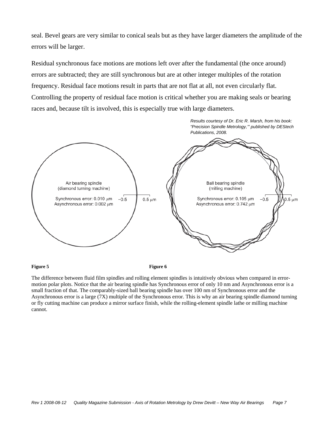seal. Bevel gears are very similar to conical seals but as they have larger diameters the amplitude of the errors will be larger.

Residual synchronous face motions are motions left over after the fundamental (the once around) errors are subtracted; they are still synchronous but are at other integer multiples of the rotation frequency. Residual face motions result in parts that are not flat at all, not even circularly flat. Controlling the property of residual face motion is critical whether you are making seals or bearing races and, because tilt is involved, this is especially true with large diameters.



**Figure 5** Figure 6

The difference between fluid film spindles and rolling element spindles is intuitively obvious when compared in errormotion polar plots. Notice that the air bearing spindle has Synchronous error of only 10 nm and Asynchronous error is a small fraction of that. The comparably-sized ball bearing spindle has over 100 nm of Synchronous error and the Asynchronous error is a large (7X) multiple of the Synchronous error. This is why an air bearing spindle diamond turning or fly cutting machine can produce a mirror surface finish, while the rolling-element spindle lathe or milling machine cannot.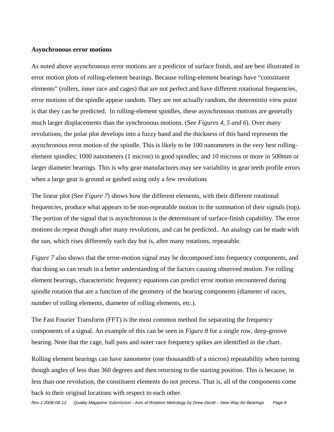#### **Asynchronous error motions**

As noted above asynchronous error motions are a predictor of surface finish, and are best illustrated in error motion plots of rolling-element bearings. Because rolling-element bearings have "constituent elements" (rollers, inner race and cages) that are not perfect and have different rotational frequencies, error motions of the spindle appear random. They are not actually random, the determinist view point is that they can be predicted. In rolling-element spindles, these asynchronous motions are generally much larger displacements than the synchronous motions. (See *Figures 4, 5 and 6*). Over many revolutions, the polar plot develops into a fuzzy band and the thickness of this band represents the asynchronous error motion of the spindle. This is likely to be 100 nanometers in the very best rollingelement spindles; 1000 nanometers (1 micron) in good spindles; and 10 microns or more in 500mm or larger diameter bearings. This is why gear manufactures may see variability in gear teeth profile errors when a large gear is ground or gashed using only a few revolutions

The linear plot (See *Figure 7*) shows how the different elements, with their different rotational frequencies, produce what appears to be non-repeatable motion in the summation of their signals (top). The portion of the signal that is asynchronous is the determinant of surface-finish capability. The error motions do repeat though after many revolutions, and can be predicted.. An analogy can be made with the sun, which rises differently each day but is, after many rotations, repeatable.

*Figure* 7 also shows that the error-motion signal may be decomposed into frequency components, and that doing so can result in a better understanding of the factors causing observed motion. For rolling element bearings, characteristic frequency equations can predict error motion encountered during spindle rotation that are a function of the geometry of the bearing components (diameter of races, number of rolling elements, diameter of rolling elements, etc.).

The Fast Fourier Transform (FFT) is the most common method for separating the frequency components of a signal. An example of this can be seen in *Figure 8* for a single row, deep-groove bearing. Note that the cage, ball pass and outer race frequency spikes are identified in the chart.

Rolling element bearings can have nanometer (one thousandth of a micron) repeatability when turning though angles of less than 360 degrees and then returning to the starting position. This is because, in less than one revolution, the constituent elements do not precess. That is, all of the components come back to their original locations with respect to each other.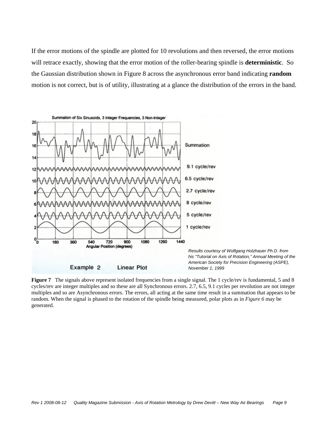If the error motions of the spindle are plotted for 10 revolutions and then reversed, the error motions will retrace exactly, showing that the error motion of the roller-bearing spindle is **deterministic**. So the Gaussian distribution shown in Figure 8 across the asynchronous error band indicating **random** motion is not correct, but is of utility, illustrating at a glance the distribution of the errors in the band.



**Figure 7** The signals above represent isolated frequencies from a single signal. The 1 cycle/rev is fundamental, 5 and 8 cycles/rev are integer multiples and so these are all Synchronous errors. 2.7, 6.5, 9.1 cycles per revolution are not integer multiples and so are Asynchronous errors. The errors, all acting at the same time result in a summation that appears to be random. When the signal is phased to the rotation of the spindle being measured, polar plots as in *Figure 6* may be generated.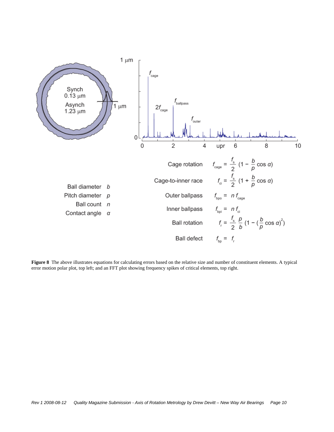

**Figure 8** The above illustrates equations for calculating errors based on the relative size and number of constituent elements. A typical error motion polar plot, top left; and an FFT plot showing frequency spikes of critical elements, top right.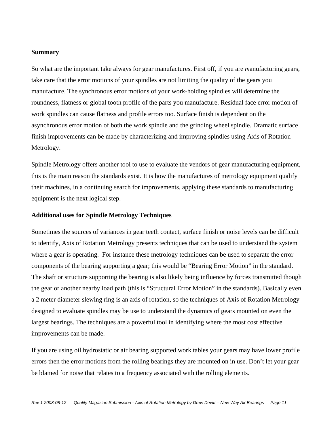#### **Summary**

So what are the important take always for gear manufactures. First off, if you are *m*anufacturing gears, take care that the error motions of your spindles are not limiting the quality of the gears you manufacture. The synchronous error motions of your work-holding spindles will determine the roundness, flatness or global tooth profile of the parts you manufacture. Residual face error motion of work spindles can cause flatness and profile errors too. Surface finish is dependent on the asynchronous error motion of both the work spindle and the grinding wheel spindle. Dramatic surface finish improvements can be made by characterizing and improving spindles using Axis of Rotation Metrology.

Spindle Metrology offers another tool to use to evaluate the vendors of gear manufacturing equipment, this is the main reason the standards exist. It is how the manufactures of metrology equipment qualify their machines, in a continuing search for improvements, applying these standards to manufacturing equipment is the next logical step.

#### **Additional uses for Spindle Metrology Techniques**

Sometimes the sources of variances in gear teeth contact, surface finish or noise levels can be difficult to identify, Axis of Rotation Metrology presents techniques that can be used to understand the system where a gear is operating. For instance these metrology techniques can be used to separate the error components of the bearing supporting a gear; this would be "Bearing Error Motion" in the standard. The shaft or structure supporting the bearing is also likely being influence by forces transmitted though the gear or another nearby load path (this is "Structural Error Motion" in the standards). Basically even a 2 meter diameter slewing ring is an axis of rotation, so the techniques of Axis of Rotation Metrology designed to evaluate spindles may be use to understand the dynamics of gears mounted on even the largest bearings. The techniques are a powerful tool in identifying where the most cost effective improvements can be made.

If you are using oil hydrostatic or air bearing supported work tables your gears may have lower profile errors then the error motions from the rolling bearings they are mounted on in use. Don't let your gear be blamed for noise that relates to a frequency associated with the rolling elements.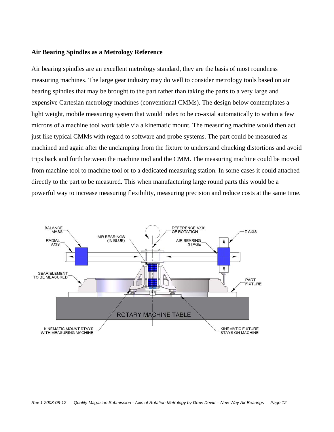#### **Air Bearing Spindles as a Metrology Reference**

Air bearing spindles are an excellent metrology standard, they are the basis of most roundness measuring machines. The large gear industry may do well to consider metrology tools based on air bearing spindles that may be brought to the part rather than taking the parts to a very large and expensive Cartesian metrology machines (conventional CMMs). The design below contemplates a light weight, mobile measuring system that would index to be co-axial automatically to within a few microns of a machine tool work table via a kinematic mount. The measuring machine would then act just like typical CMMs with regard to software and probe systems. The part could be measured as machined and again after the unclamping from the fixture to understand chucking distortions and avoid trips back and forth between the machine tool and the CMM. The measuring machine could be moved from machine tool to machine tool or to a dedicated measuring station. In some cases it could attached directly to the part to be measured. This when manufacturing large round parts this would be a powerful way to increase measuring flexibility, measuring precision and reduce costs at the same time.

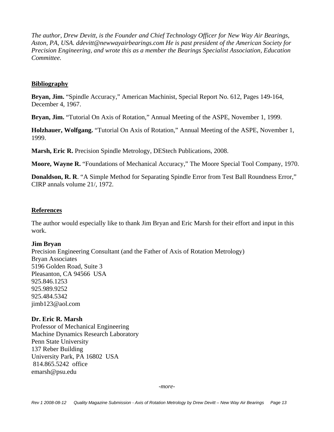*The author, Drew Devitt, is the Founder and Chief Technology Officer for New Way Air Bearings, Aston, PA, USA. ddevitt@newwayairbearings.com He is past president of the American Society for Precision Engineering, and wrote this as a member the Bearings Specialist Association, Education Committee.* 

#### **Bibliography**

**Bryan, Jim.** "Spindle Accuracy," American Machinist, Special Report No. 612, Pages 149-164, December 4, 1967.

**Bryan, Jim.** "Tutorial On Axis of Rotation," Annual Meeting of the ASPE, November 1, 1999.

**Holzhauer, Wolfgang.** "Tutorial On Axis of Rotation," Annual Meeting of the ASPE, November 1, 1999.

**Marsh, Eric R.** Precision Spindle Metrology, DEStech Publications, 2008.

**Moore, Wayne R.** "Foundations of Mechanical Accuracy," The Moore Special Tool Company, 1970.

**Donaldson, R. R**. "A Simple Method for Separating Spindle Error from Test Ball Roundness Error," CIRP annals volume 21/, 1972.

#### **References**

The author would especially like to thank Jim Bryan and Eric Marsh for their effort and input in this work.

#### **Jim Bryan**

Precision Engineering Consultant (and the Father of Axis of Rotation Metrology) Bryan Associates 5196 Golden Road, Suite 3 Pleasanton, CA 94566 USA 925.846.1253 925.989.9252 925.484.5342 jimb123@aol.com

#### **Dr. Eric R. Marsh**

Professor of Mechanical Engineering Machine Dynamics Research Laboratory Penn State University 137 Reber Building University Park, PA 16802 USA 814.865.5242 office emarsh@psu.edu

*-more-*